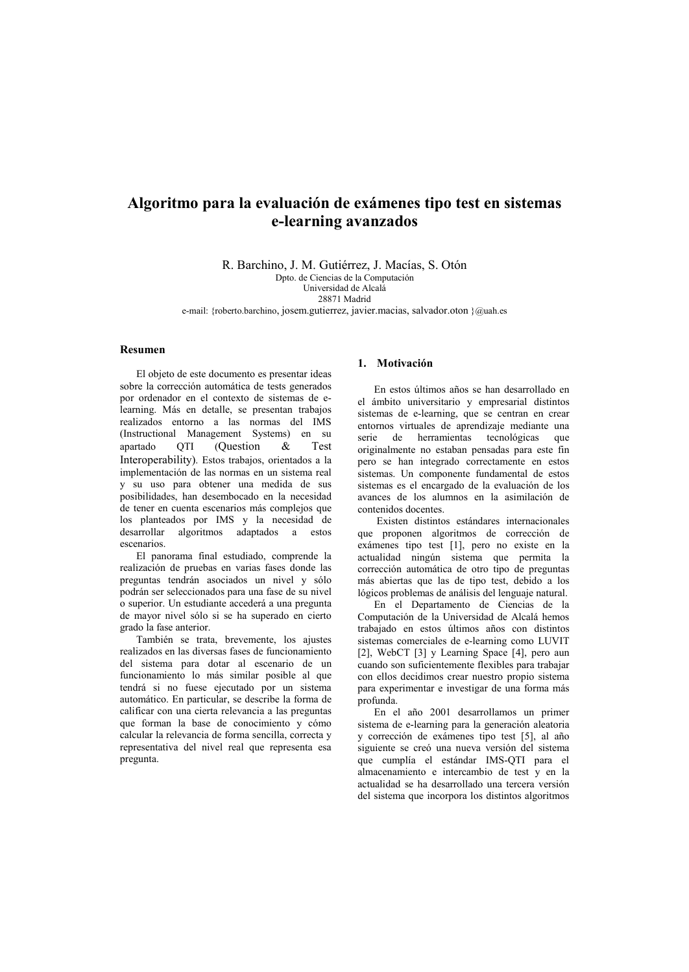# Algoritmo para la evaluación de exámenes tipo test en sistemas e-learning avanzados

R. Barchino, J. M. Gutiérrez, J. Macías, S. Otón

Dpto. de Ciencias de la Computación Universidad de Alcalá

28871 Madrid

e-mail: {roberto.barchino, josem.gutierrez, javier.macias, salvador.oton }@uah.es

## **Resumen**

El objeto de este documento es presentar ideas sobre la corrección automática de tests generados por ordenador en el contexto de sistemas de elearning. Más en detalle, se presentan trabajos realizados entorno a las normas del IMS (Instructional Management Systems) en su apartado OTI (Question  $\alpha$ Test Interoperability). Estos trabajos, orientados a la implementación de las normas en un sistema real y su uso para obtener una medida de sus posibilidades, han desembocado en la necesidad de tener en cuenta escenarios más complejos que los planteados por IMS y la necesidad de desarrollar algoritmos adaptados a estos escenarios

El panorama final estudiado, comprende la realización de pruebas en varias fases donde las preguntas tendrán asociados un nivel y sólo podrán ser seleccionados para una fase de su nivel o superior. Un estudiante accederá a una pregunta de mayor nivel sólo si se ha superado en cierto grado la fase anterior.

También se trata, brevemente, los ajustes realizados en las diversas fases de funcionamiento del sistema para dotar al escenario de un funcionamiento lo más similar posible al que tendrá si no fuese ejecutado por un sistema automático. En particular, se describe la forma de calificar con una cierta relevancia a las preguntas que forman la base de conocimiento y cómo calcular la relevancia de forma sencilla, correcta y representativa del nivel real que representa esa  $n$ regunta

## 1. Motivación

En estos últimos años se han desarrollado en el ámbito universitario y empresarial distintos sistemas de e-learning, que se centran en crear entornos virtuales de aprendizaje mediante una serie de herramientas tecnológicas que originalmente no estaban pensadas para este fin pero se han integrado correctamente en estos sistemas. Un componente fundamental de estos sistemas es el encargado de la evaluación de los avances de los alumnos en la asimilación de contenidos docentes.

Existen distintos estándares internacionales que proponen algoritmos de corrección de exámenes tipo test [1], pero no existe en la actualidad ningún sistema que permita la corrección automática de otro tipo de preguntas más abiertas que las de tipo test, debido a los lógicos problemas de análisis del lenguaje natural.

En el Departamento de Ciencias de la Computación de la Universidad de Alcalá hemos trabajado en estos últimos años con distintos sistemas comerciales de e-learning como LUVIT [2], WebCT [3] y Learning Space [4], pero aun cuando son suficientemente flexibles para trabajar con ellos decidimos crear nuestro propio sistema para experimentar e investigar de una forma más profunda.

En el año 2001 desarrollamos un primer sistema de e-learning para la generación aleatoria y corrección de exámenes tipo test [5], al año siguiente se creó una nueva versión del sistema que cumplía el estándar IMS-QTI para el almacenamiento e intercambio de test y en la actualidad se ha desarrollado una tercera versión del sistema que incorpora los distintos algoritmos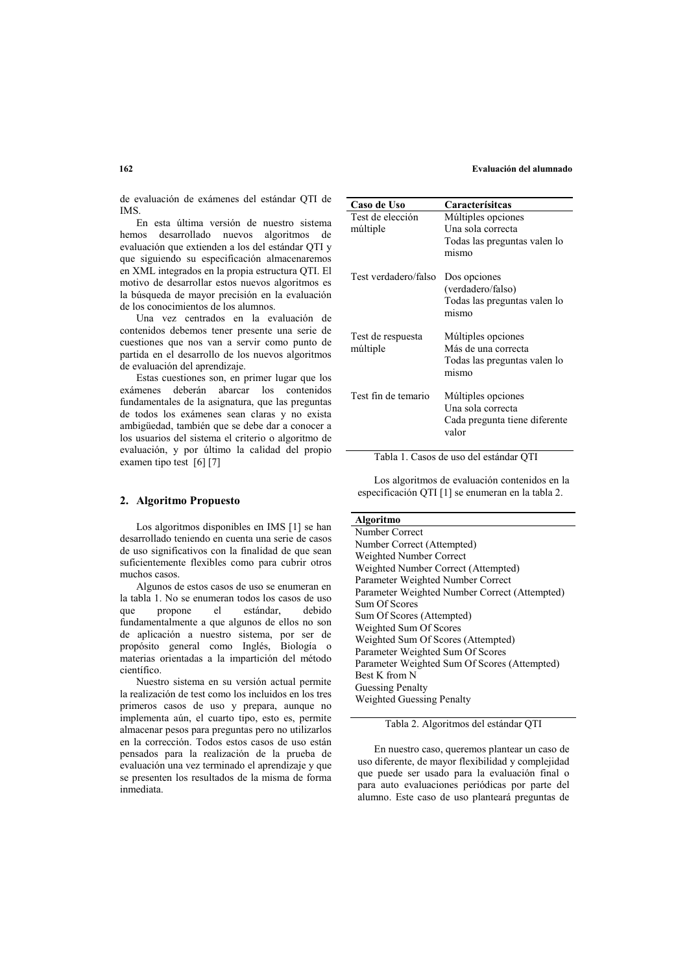#### Evaluación del alumnado

de evaluación de exámenes del estándar OTI de **IMS** 

En esta última versión de nuestro sistema hemos desarrollado nuevos algoritmos de evaluación que extienden a los del estándar OTI v que siguiendo su especificación almacenaremos en XML integrados en la propia estructura QTI. El motivo de desarrollar estos nuevos algoritmos es la búsqueda de mayor precisión en la evaluación de los conocimientos de los alumnos.

Una vez centrados en la evaluación de contenidos debemos tener presente una serie de cuestiones que nos van a servir como punto de partida en el desarrollo de los nuevos algoritmos de evaluación del aprendizaje.

Estas cuestiones son, en primer lugar que los exámenes deberán abarcar los contenidos fundamentales de la asignatura, que las preguntas de todos los exámenes sean claras y no exista ambigüedad, también que se debe dar a conocer a los usuarios del sistema el criterio o algoritmo de evaluación, y por último la calidad del propio examen tipo test [6] [7]

#### 2. Algoritmo Propuesto

Los algoritmos disponibles en IMS [1] se han desarrollado teniendo en cuenta una serie de casos de uso significativos con la finalidad de que sean suficientemente flexibles como para cubrir otros muchos casos

Algunos de estos casos de uso se enumeran en la tabla 1. No se enumeran todos los casos de uso  $_{\text{CMB}}$ propone  $el$ estándar. debido fundamentalmente a que algunos de ellos no son de aplicación a nuestro sistema, por ser de propósito general como Inglés, Biología o materias orientadas a la impartición del método científico

Nuestro sistema en su versión actual nermite la realización de test como los incluidos en los tres primeros casos de uso y prepara, aunque no implementa aún, el cuarto tipo, esto es, permite almacenar pesos para preguntas pero no utilizarlos en la corrección. Todos estos casos de uso están pensados para la realización de la prueba de evaluación una vez terminado el aprendizaje y que se presenten los resultados de la misma de forma inmediata

| Caso de Uso                   | Caracterísitcas                                                                    |
|-------------------------------|------------------------------------------------------------------------------------|
| Test de elección<br>múltiple  | Múltiples opciones<br>Una sola correcta<br>Todas las preguntas valen lo<br>mismo   |
| Test verdadero/falso          | Dos opciones<br>(verdadero/falso)<br>Todas las preguntas valen lo<br>mismo         |
| Test de respuesta<br>múltiple | Múltiples opciones<br>Más de una correcta<br>Todas las preguntas valen lo<br>mismo |
| Test fin de temario           | Múltiples opciones<br>Una sola correcta<br>Cada pregunta tiene diferente<br>valor  |

Tabla 1. Casos de uso del estándar QTI

Los algoritmos de evaluación contenidos en la especificación OTI [1] se enumeran en la tabla 2.

## **Algoritmo**

Number Correct Number Correct (Attempted) Weighted Number Correct Weighted Number Correct (Attempted) Parameter Weighted Number Correct Parameter Weighted Number Correct (Attempted) Sum Of Scores Sum Of Scores (Attempted) Weighted Sum Of Scores Weighted Sum Of Scores (Attempted) Parameter Weighted Sum Of Scores Parameter Weighted Sum Of Scores (Attempted) Best K from N **Guessing Penalty** Weighted Guessing Penalty

Tabla 2. Algoritmos del estándar QTI

En nuestro caso, queremos plantear un caso de uso diferente, de mayor flexibilidad y complejidad que puede ser usado para la evaluación final o para auto evaluaciones periódicas por parte del alumno. Este caso de uso planteará preguntas de

## $162$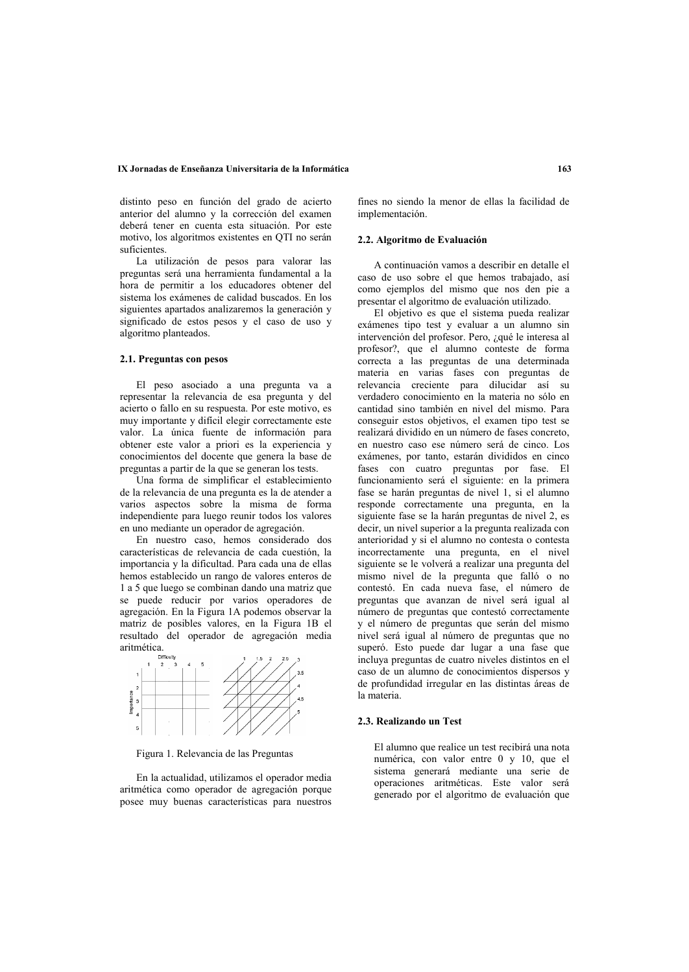#### IX Jornadas de Enseñanza Universitaria de la Informática

distinto peso en función del grado de acierto anterior del alumno y la corrección del examen deberá tener en cuenta esta situación. Por este motivo, los algoritmos existentes en OTI no serán suficientes.

La utilización de pesos para valorar las preguntas será una herramienta fundamental a la hora de permitir a los educadores obtener del sistema los exámenes de calidad buscados. En los siguientes apartados analizaremos la generación y significado de estos pesos y el caso de uso y algoritmo planteados.

#### 2.1. Preguntas con pesos

El peso asociado a una pregunta va a representar la relevancia de esa pregunta y del acierto o fallo en su respuesta. Por este motivo, es muy importante y difícil elegir correctamente este valor. La única fuente de información para obtener este valor a priori es la experiencia y conocimientos del docente que genera la base de preguntas a partir de la que se generan los tests.

Una forma de simplificar el establecimiento de la relevancia de una pregunta es la de atender a varios aspectos sobre la misma de forma independiente para luego reunir todos los valores en uno mediante un operador de agregación.

En nuestro caso, hemos considerado dos características de relevancia de cada cuestión. la importancia y la dificultad. Para cada una de ellas hemos establecido un rango de valores enteros de 1 a 5 que luego se combinan dando una matriz que se puede reducir por varios operadores de agregación. En la Figura 1A podemos observar la matriz de posibles valores, en la Figura 1B el resultado del operador de agregación media aritmética.



Figura 1. Relevancia de las Preguntas

En la actualidad, utilizamos el operador media aritmética como operador de agregación porque posee muy buenas características para nuestros

fines no siendo la menor de ellas la facilidad de implementación.

## 2.2. Algoritmo de Evaluación

A continuación vamos a describir en detalle el caso de uso sobre el que hemos trabajado, así como ejemplos del mismo que nos den nie a presentar el algoritmo de evaluación utilizado.

El objetivo es que el sistema pueda realizar exámenes tipo test y evaluar a un alumno sin intervención del profesor. Pero, ¿qué le interesa al profesor?, que el alumno conteste de forma correcta a las preguntas de una determinada materia en varias fases con preguntas de relevancia creciente para dilucidar así su verdadero conocimiento en la materia no sólo en cantidad sino también en nivel del mismo. Para conseguir estos objetivos, el examen tipo test se realizará dividido en un número de fases concreto. en nuestro caso ese número será de cinco. Los exámenes, por tanto, estarán divididos en cinco fases con cuatro preguntas por fase. El funcionamiento será el siguiente: en la primera fase se harán preguntas de nivel 1, si el alumno responde correctamente una pregunta, en la siguiente fase se la harán preguntas de nivel 2 es decir, un nivel superior a la pregunta realizada con anterioridad y si el alumno no contesta o contesta incorrectamente una pregunta, en el nivel siguiente se le volverá a realizar una pregunta del mismo nivel de la pregunta que falló o no contestó. En cada nueva fase, el número de preguntas que avanzan de nivel será igual al número de preguntas que contestó correctamente y el número de preguntas que serán del mismo nivel será igual al número de preguntas que no superó. Esto puede dar lugar a una fase que incluya preguntas de cuatro niveles distintos en el caso de un alumno de conocimientos dispersos y de profundidad irregular en las distintas áreas de la materia

## 2.3. Realizando un Test

El alumno que realice un test recibirá una nota numérica, con valor entre 0 y 10, que el sistema generará mediante una serie de operaciones aritméticas. Este valor será generado por el algoritmo de evaluación que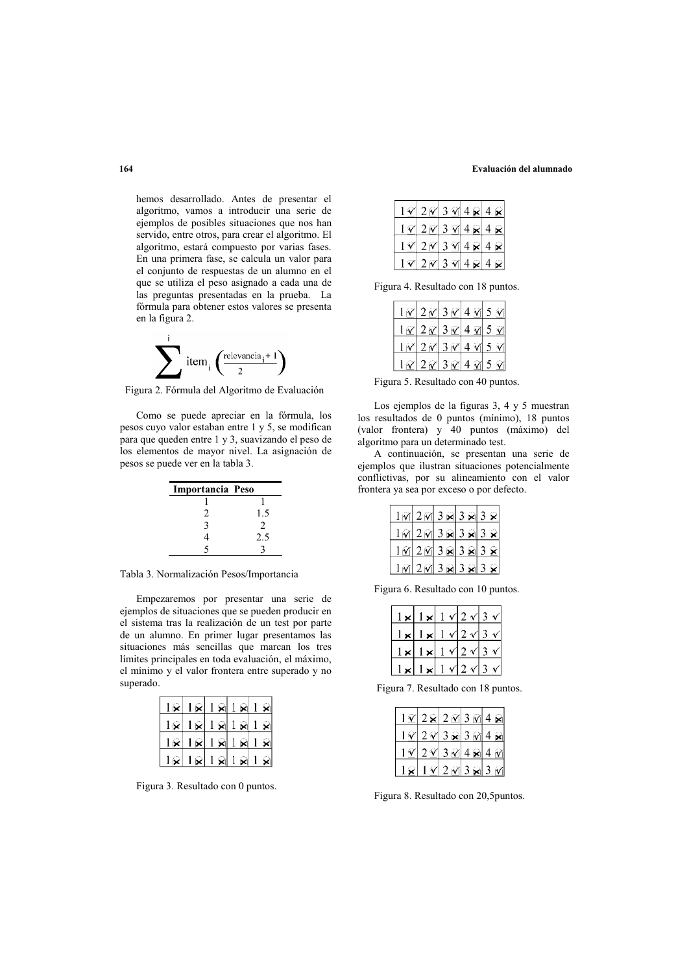#### Evaluación del alumnado

hemos desarrollado. Antes de presentar el algoritmo, vamos a introducir una serie de ejemplos de posibles situaciones que nos han servido, entre otros, para crear el algoritmo. El algoritmo, estará compuesto por varias fases. En una primera fase, se calcula un valor para el conjunto de respuestas de un alumno en el que se utiliza el peso asignado a cada una de las preguntas presentadas en la prueba. La fórmula para obtener estos valores se presenta en la figura 2.



Figura 2. Fórmula del Algoritmo de Evaluación

Como se puede apreciar en la fórmula, los pesos cuyo valor estaban entre 1 y 5, se modifican para que queden entre 1 y 3, suavizando el peso de los elementos de mayor nivel. La asignación de pesos se puede ver en la tabla 3.

| Importancia Peso |        |
|------------------|--------|
|                  |        |
| $\mathfrak{D}$   | $1\,5$ |
| 2                | 2      |
|                  | 2.5    |
|                  |        |

Tabla 3. Normalización Pesos/Importancia

Empezaremos por presentar una serie de ejemplos de situaciones que se pueden producir en el sistema tras la realización de un test por parte de un alumno. En primer lugar presentamos las situaciones más sencillas que marcan los tres límites principales en toda evaluación, el máximo, el mínimo y el valor frontera entre superado y no superado.

| $\mathbf{R}$ |                |                  |                       | $1 \times 1 \times 1 \times 1 \times$                            |
|--------------|----------------|------------------|-----------------------|------------------------------------------------------------------|
|              |                |                  |                       | $\mathbf{R}  1\mathbf{R}  1\mathbf{R}  1\mathbf{R}  1\mathbf{R}$ |
|              |                |                  |                       | $\mathbf{R}  1\mathbf{R} 1\mathbf{R} 1\mathbf{R} 1\mathbf{R}$    |
|              | $\mathbb{R}^+$ | $ \mathbf{Q} $ . | $\mathbf{R}^{\prime}$ | ହା                                                               |

Figura 3. Resultado con 0 puntos.

|  | $1 \mathcal{C}$ 2 $\mathcal{C}$ 3 $\mathcal{C}$ 4 | $\mathbf{z}$ 4 |                                                                                    |
|--|---------------------------------------------------|----------------|------------------------------------------------------------------------------------|
|  |                                                   |                | $1 \times 2 \times 3 \times 4 \times 4 \times$                                     |
|  |                                                   |                | $1 \, \mathcal{V}$ 2 $\mathcal{V}$ 3 $\mathcal{V}$ 4 $\mathcal{R}$ 4 $\mathcal{R}$ |
|  | $1 \mathcal{N}$ 2 $\mathcal{N}$ 3 $\mathcal{N}$ 4 |                | R                                                                                  |

Figura 4. Resultado con 18 puntos.

|  |  | $1 \alpha$ 2 $\alpha$ 3 $\alpha$ 4 $\alpha$ 5 $\alpha$ |
|--|--|--------------------------------------------------------|
|  |  | $1 \alpha$ 2 $\alpha$ 3 $\alpha$ 4 $\alpha$ 5 $\alpha$ |
|  |  | 1020304050                                             |
|  |  | $1 \times 2 \times 3 \times 4 \times 5 \times$         |

Figura 5. Resultado con 40 puntos.

Los ejemplos de la figuras  $3, 4, y, 5$  muestran los resultados de 0 puntos (mínimo). 18 puntos (valor frontera) y 40 puntos (máximo) del algoritmo para un determinado test.

A continuación, se presentan una serie de ejemplos que ilustran situaciones potencialmente conflictivas, por su alineamiento con el valor frontera ya sea por exceso o por defecto.

|  | $1 \text{ m} 2 \text{ m} 3 \text{ m} 3 \text{ m} 3 \text{ m}$ |  |
|--|---------------------------------------------------------------|--|
|  | $1 \cap 2 \cap 3 \cap 3 \cap 3 \cap 3 \times$                 |  |
|  | 1M2M383838                                                    |  |
|  | <u>1 M 2 M 3 ⊠ 3 ⊠ 3 &amp;</u>                                |  |

Figura 6. Resultado con 10 puntos.

|  |     | ∕ 2 |  |
|--|-----|-----|--|
|  |     | 42  |  |
|  | ۷I. | 2   |  |
|  |     | 42  |  |

Figura 7. Resultado con 18 puntos.

|  | $\sqrt{3}$ $\approx$ | 3 |  |
|--|----------------------|---|--|
|  | V 3 M                |   |  |
|  | 7/2<br>$M^{3}$       |   |  |

Figura 8. Resultado con 20,5puntos.

164